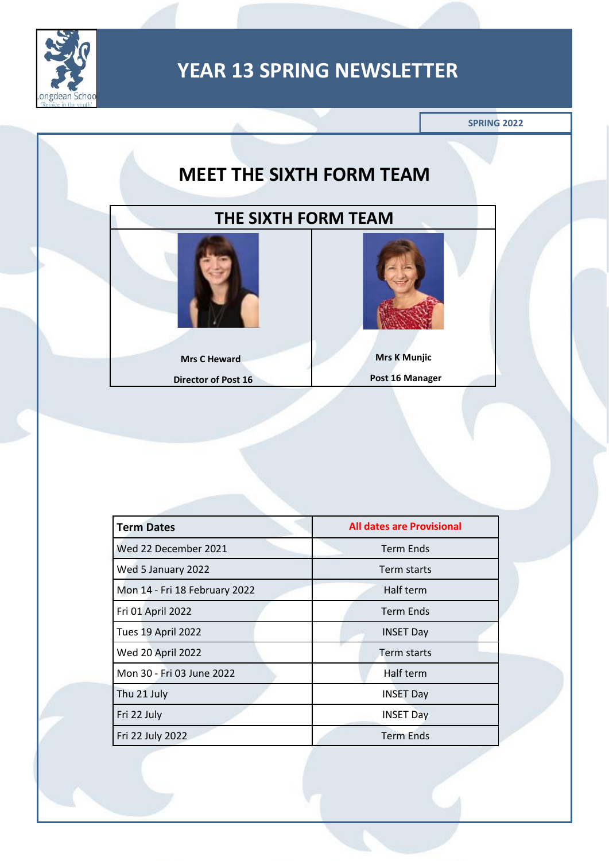



| <b>Term Dates</b>             | <b>All dates are Provisional</b> |
|-------------------------------|----------------------------------|
| Wed 22 December 2021          | <b>Term Ends</b>                 |
| Wed 5 January 2022            | Term starts                      |
| Mon 14 - Fri 18 February 2022 | Half term                        |
| Fri 01 April 2022             | <b>Term Ends</b>                 |
| Tues 19 April 2022            | <b>INSET Day</b>                 |
| Wed 20 April 2022             | Term starts                      |
| Mon 30 - Fri 03 June 2022     | Half term                        |
| Thu 21 July                   | <b>INSET Day</b>                 |
| Fri 22 July                   | <b>INSET Day</b>                 |
| Fri 22 July 2022              | <b>Term Ends</b>                 |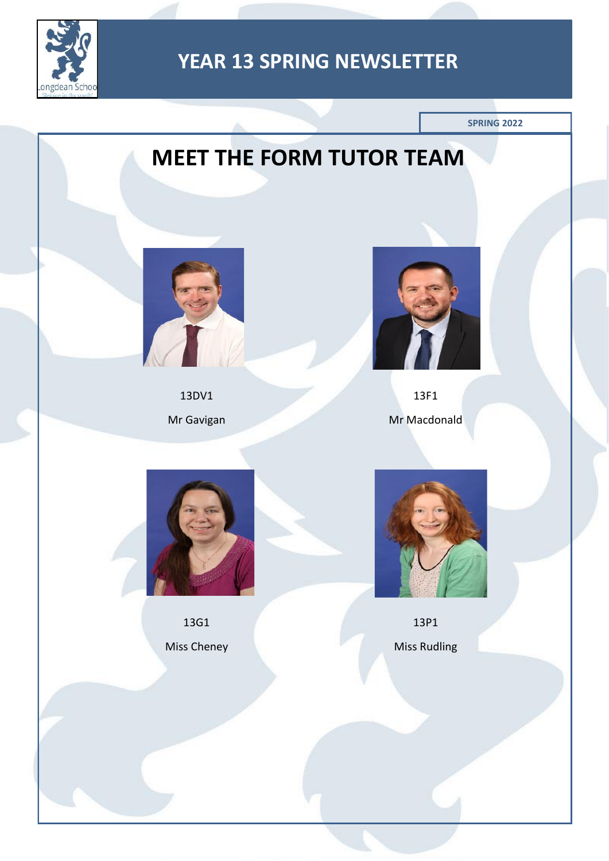

**SPRING 2022**

# **MEET THE FORM TUTOR TEAM**



13DV1 Mr Gavigan



13F1 Mr Macdonald



13G1 Miss Cheney



13P1 Miss Rudling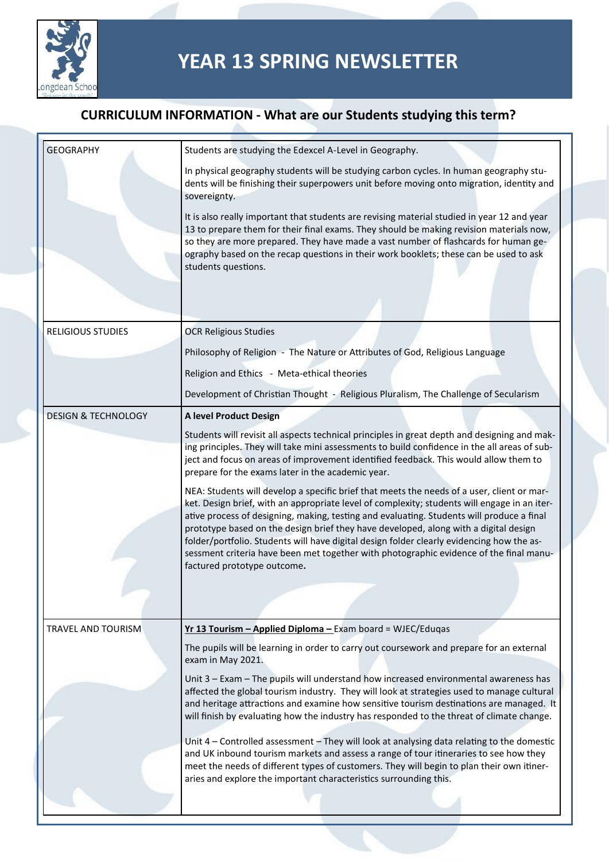

| <b>GEOGRAPHY</b>               | Students are studying the Edexcel A-Level in Geography.                                                                                                                                                                                                                                                                                                                                                                                                                                                                                                                                               |
|--------------------------------|-------------------------------------------------------------------------------------------------------------------------------------------------------------------------------------------------------------------------------------------------------------------------------------------------------------------------------------------------------------------------------------------------------------------------------------------------------------------------------------------------------------------------------------------------------------------------------------------------------|
|                                | In physical geography students will be studying carbon cycles. In human geography stu-<br>dents will be finishing their superpowers unit before moving onto migration, identity and<br>sovereignty.                                                                                                                                                                                                                                                                                                                                                                                                   |
|                                | It is also really important that students are revising material studied in year 12 and year<br>13 to prepare them for their final exams. They should be making revision materials now,<br>so they are more prepared. They have made a vast number of flashcards for human ge-<br>ography based on the recap questions in their work booklets; these can be used to ask<br>students questions.                                                                                                                                                                                                         |
| <b>RELIGIOUS STUDIES</b>       | <b>OCR Religious Studies</b>                                                                                                                                                                                                                                                                                                                                                                                                                                                                                                                                                                          |
|                                | Philosophy of Religion - The Nature or Attributes of God, Religious Language                                                                                                                                                                                                                                                                                                                                                                                                                                                                                                                          |
|                                | Religion and Ethics - Meta-ethical theories                                                                                                                                                                                                                                                                                                                                                                                                                                                                                                                                                           |
|                                | Development of Christian Thought - Religious Pluralism, The Challenge of Secularism                                                                                                                                                                                                                                                                                                                                                                                                                                                                                                                   |
| <b>DESIGN &amp; TECHNOLOGY</b> | A level Product Design                                                                                                                                                                                                                                                                                                                                                                                                                                                                                                                                                                                |
|                                | Students will revisit all aspects technical principles in great depth and designing and mak-<br>ing principles. They will take mini assessments to build confidence in the all areas of sub-<br>ject and focus on areas of improvement identified feedback. This would allow them to<br>prepare for the exams later in the academic year.                                                                                                                                                                                                                                                             |
|                                | NEA: Students will develop a specific brief that meets the needs of a user, client or mar-<br>ket. Design brief, with an appropriate level of complexity; students will engage in an iter-<br>ative process of designing, making, testing and evaluating. Students will produce a final<br>prototype based on the design brief they have developed, along with a digital design<br>folder/portfolio. Students will have digital design folder clearly evidencing how the as-<br>sessment criteria have been met together with photographic evidence of the final manu-<br>factured prototype outcome. |
|                                |                                                                                                                                                                                                                                                                                                                                                                                                                                                                                                                                                                                                       |
| <b>TRAVEL AND TOURISM</b>      | Yr 13 Tourism - Applied Diploma - Exam board = WJEC/Eduqas<br>The pupils will be learning in order to carry out coursework and prepare for an external                                                                                                                                                                                                                                                                                                                                                                                                                                                |
|                                | exam in May 2021.<br>Unit 3 - Exam - The pupils will understand how increased environmental awareness has<br>affected the global tourism industry. They will look at strategies used to manage cultural<br>and heritage attractions and examine how sensitive tourism destinations are managed. It<br>will finish by evaluating how the industry has responded to the threat of climate change.                                                                                                                                                                                                       |
|                                | Unit 4 - Controlled assessment - They will look at analysing data relating to the domestic<br>and UK inbound tourism markets and assess a range of tour itineraries to see how they<br>meet the needs of different types of customers. They will begin to plan their own itiner-<br>aries and explore the important characteristics surrounding this.                                                                                                                                                                                                                                                 |
|                                |                                                                                                                                                                                                                                                                                                                                                                                                                                                                                                                                                                                                       |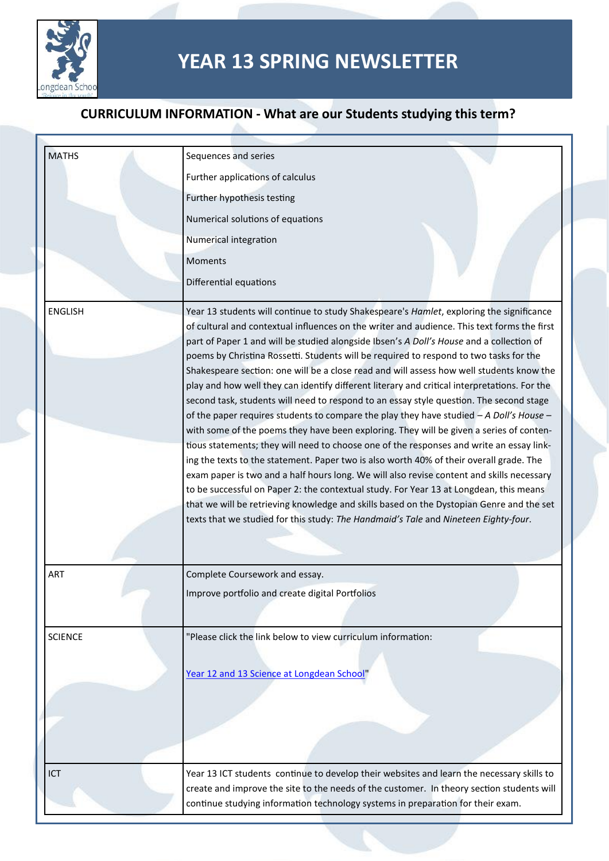

| <b>MATHS</b>   | Sequences and series                                                                                                                                                                    |
|----------------|-----------------------------------------------------------------------------------------------------------------------------------------------------------------------------------------|
|                | Further applications of calculus                                                                                                                                                        |
|                | Further hypothesis testing                                                                                                                                                              |
|                | Numerical solutions of equations                                                                                                                                                        |
|                | Numerical integration                                                                                                                                                                   |
|                | Moments                                                                                                                                                                                 |
|                | Differential equations                                                                                                                                                                  |
| <b>ENGLISH</b> | Year 13 students will continue to study Shakespeare's Hamlet, exploring the significance                                                                                                |
|                | of cultural and contextual influences on the writer and audience. This text forms the first<br>part of Paper 1 and will be studied alongside Ibsen's A Doll's House and a collection of |
|                | poems by Christina Rossetti. Students will be required to respond to two tasks for the                                                                                                  |
|                | Shakespeare section: one will be a close read and will assess how well students know the                                                                                                |
|                | play and how well they can identify different literary and critical interpretations. For the<br>second task, students will need to respond to an essay style question. The second stage |
|                | of the paper requires students to compare the play they have studied $-A$ Doll's House $-$                                                                                              |
|                | with some of the poems they have been exploring. They will be given a series of conten-                                                                                                 |
|                | tious statements; they will need to choose one of the responses and write an essay link-<br>ing the texts to the statement. Paper two is also worth 40% of their overall grade. The     |
|                | exam paper is two and a half hours long. We will also revise content and skills necessary                                                                                               |
|                | to be successful on Paper 2: the contextual study. For Year 13 at Longdean, this means                                                                                                  |
|                | that we will be retrieving knowledge and skills based on the Dystopian Genre and the set                                                                                                |
|                | texts that we studied for this study: The Handmaid's Tale and Nineteen Eighty-four.                                                                                                     |
|                |                                                                                                                                                                                         |
| ART            | Complete Coursework and essay.                                                                                                                                                          |
|                | Improve portfolio and create digital Portfolios                                                                                                                                         |
|                |                                                                                                                                                                                         |
| <b>SCIENCE</b> | "Please click the link below to view curriculum information:                                                                                                                            |
|                | Year 12 and 13 Science at Longdean School"                                                                                                                                              |
|                |                                                                                                                                                                                         |
|                |                                                                                                                                                                                         |
|                |                                                                                                                                                                                         |
|                |                                                                                                                                                                                         |
| ICT            | Year 13 ICT students continue to develop their websites and learn the necessary skills to                                                                                               |
|                | create and improve the site to the needs of the customer. In theory section students will                                                                                               |
|                | continue studying information technology systems in preparation for their exam.                                                                                                         |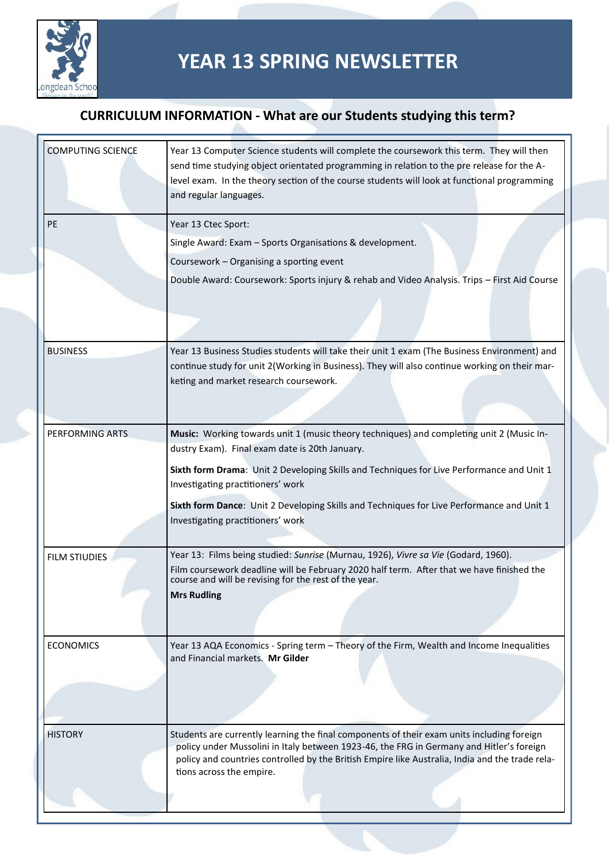

| <b>COMPUTING SCIENCE</b> | Year 13 Computer Science students will complete the coursework this term. They will then<br>send time studying object orientated programming in relation to the pre release for the A-<br>level exam. In the theory section of the course students will look at functional programming<br>and regular languages.      |
|--------------------------|-----------------------------------------------------------------------------------------------------------------------------------------------------------------------------------------------------------------------------------------------------------------------------------------------------------------------|
| PE                       |                                                                                                                                                                                                                                                                                                                       |
|                          | Year 13 Ctec Sport:                                                                                                                                                                                                                                                                                                   |
|                          | Single Award: Exam - Sports Organisations & development.                                                                                                                                                                                                                                                              |
|                          | Coursework - Organising a sporting event                                                                                                                                                                                                                                                                              |
|                          | Double Award: Coursework: Sports injury & rehab and Video Analysis. Trips - First Aid Course                                                                                                                                                                                                                          |
| <b>BUSINESS</b>          | Year 13 Business Studies students will take their unit 1 exam (The Business Environment) and                                                                                                                                                                                                                          |
|                          | continue study for unit 2(Working in Business). They will also continue working on their mar-<br>keting and market research coursework.                                                                                                                                                                               |
|                          |                                                                                                                                                                                                                                                                                                                       |
| PERFORMING ARTS          | Music: Working towards unit 1 (music theory techniques) and completing unit 2 (Music In-<br>dustry Exam). Final exam date is 20th January.                                                                                                                                                                            |
|                          | Sixth form Drama: Unit 2 Developing Skills and Techniques for Live Performance and Unit 1<br>Investigating practitioners' work                                                                                                                                                                                        |
|                          | Sixth form Dance: Unit 2 Developing Skills and Techniques for Live Performance and Unit 1                                                                                                                                                                                                                             |
|                          | Investigating practitioners' work                                                                                                                                                                                                                                                                                     |
| <b>FILM STIUDIES</b>     | Year 13: Films being studied: Sunrise (Murnau, 1926), Vivre sa Vie (Godard, 1960).                                                                                                                                                                                                                                    |
|                          | Film coursework deadline will be February 2020 half term. After that we have finished the<br>course and will be revising for the rest of the year.                                                                                                                                                                    |
|                          | <b>Mrs Rudling</b>                                                                                                                                                                                                                                                                                                    |
| <b>ECONOMICS</b>         | Year 13 AQA Economics - Spring term - Theory of the Firm, Wealth and Income Inequalities<br>and Financial markets. Mr Gilder                                                                                                                                                                                          |
|                          |                                                                                                                                                                                                                                                                                                                       |
|                          |                                                                                                                                                                                                                                                                                                                       |
| <b>HISTORY</b>           | Students are currently learning the final components of their exam units including foreign<br>policy under Mussolini in Italy between 1923-46, the FRG in Germany and Hitler's foreign<br>policy and countries controlled by the British Empire like Australia, India and the trade rela-<br>tions across the empire. |
|                          |                                                                                                                                                                                                                                                                                                                       |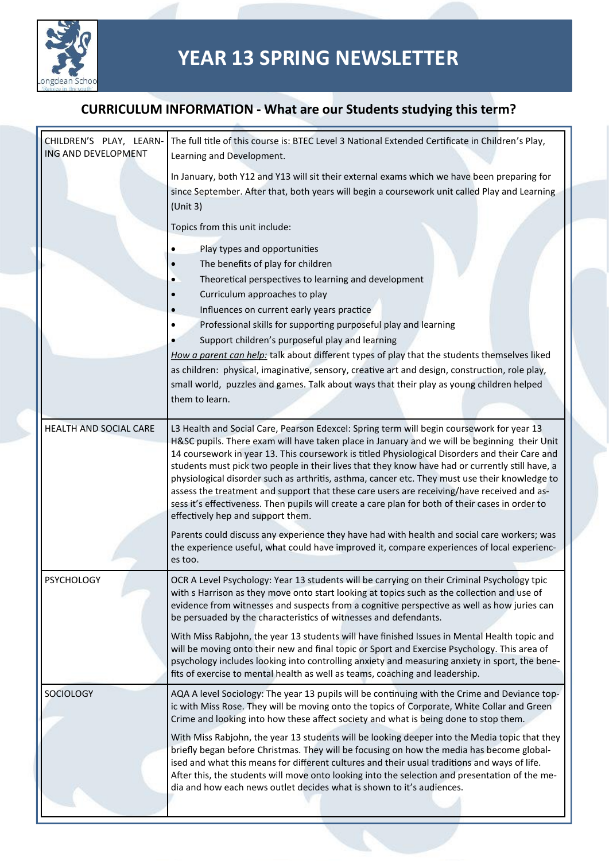

| CHILDREN'S PLAY, LEARN-<br>ING AND DEVELOPMENT | The full title of this course is: BTEC Level 3 National Extended Certificate in Children's Play,<br>Learning and Development.                                                                                                                                                                                                                                                                                                                                                                                                              |
|------------------------------------------------|--------------------------------------------------------------------------------------------------------------------------------------------------------------------------------------------------------------------------------------------------------------------------------------------------------------------------------------------------------------------------------------------------------------------------------------------------------------------------------------------------------------------------------------------|
|                                                | In January, both Y12 and Y13 will sit their external exams which we have been preparing for<br>since September. After that, both years will begin a coursework unit called Play and Learning<br>(Unit 3)                                                                                                                                                                                                                                                                                                                                   |
|                                                | Topics from this unit include:                                                                                                                                                                                                                                                                                                                                                                                                                                                                                                             |
|                                                | Play types and opportunities                                                                                                                                                                                                                                                                                                                                                                                                                                                                                                               |
|                                                | The benefits of play for children                                                                                                                                                                                                                                                                                                                                                                                                                                                                                                          |
|                                                | Theoretical perspectives to learning and development                                                                                                                                                                                                                                                                                                                                                                                                                                                                                       |
|                                                | Curriculum approaches to play                                                                                                                                                                                                                                                                                                                                                                                                                                                                                                              |
|                                                | Influences on current early years practice                                                                                                                                                                                                                                                                                                                                                                                                                                                                                                 |
|                                                | Professional skills for supporting purposeful play and learning                                                                                                                                                                                                                                                                                                                                                                                                                                                                            |
|                                                | Support children's purposeful play and learning                                                                                                                                                                                                                                                                                                                                                                                                                                                                                            |
|                                                | How a parent can help: talk about different types of play that the students themselves liked                                                                                                                                                                                                                                                                                                                                                                                                                                               |
|                                                | as children: physical, imaginative, sensory, creative art and design, construction, role play,                                                                                                                                                                                                                                                                                                                                                                                                                                             |
|                                                | small world, puzzles and games. Talk about ways that their play as young children helped<br>them to learn.                                                                                                                                                                                                                                                                                                                                                                                                                                 |
|                                                |                                                                                                                                                                                                                                                                                                                                                                                                                                                                                                                                            |
| HEALTH AND SOCIAL CARE                         | L3 Health and Social Care, Pearson Edexcel: Spring term will begin coursework for year 13<br>H&SC pupils. There exam will have taken place in January and we will be beginning their Unit                                                                                                                                                                                                                                                                                                                                                  |
|                                                | 14 coursework in year 13. This coursework is titled Physiological Disorders and their Care and<br>students must pick two people in their lives that they know have had or currently still have, a<br>physiological disorder such as arthritis, asthma, cancer etc. They must use their knowledge to<br>assess the treatment and support that these care users are receiving/have received and as-<br>sess it's effectiveness. Then pupils will create a care plan for both of their cases in order to<br>effectively hep and support them. |
|                                                | Parents could discuss any experience they have had with health and social care workers; was<br>the experience useful, what could have improved it, compare experiences of local experienc-<br>es too.                                                                                                                                                                                                                                                                                                                                      |
| <b>PSYCHOLOGY</b>                              | OCR A Level Psychology: Year 13 students will be carrying on their Criminal Psychology tpic<br>with s Harrison as they move onto start looking at topics such as the collection and use of<br>evidence from witnesses and suspects from a cognitive perspective as well as how juries can<br>be persuaded by the characteristics of witnesses and defendants.                                                                                                                                                                              |
|                                                | With Miss Rabjohn, the year 13 students will have finished Issues in Mental Health topic and<br>will be moving onto their new and final topic or Sport and Exercise Psychology. This area of<br>psychology includes looking into controlling anxiety and measuring anxiety in sport, the bene-<br>fits of exercise to mental health as well as teams, coaching and leadership.                                                                                                                                                             |
| SOCIOLOGY                                      | AQA A level Sociology: The year 13 pupils will be continuing with the Crime and Deviance top-<br>ic with Miss Rose. They will be moving onto the topics of Corporate, White Collar and Green<br>Crime and looking into how these affect society and what is being done to stop them.                                                                                                                                                                                                                                                       |
|                                                | With Miss Rabjohn, the year 13 students will be looking deeper into the Media topic that they<br>briefly began before Christmas. They will be focusing on how the media has become global-<br>ised and what this means for different cultures and their usual traditions and ways of life.<br>After this, the students will move onto looking into the selection and presentation of the me-<br>dia and how each news outlet decides what is shown to it's audiences.                                                                      |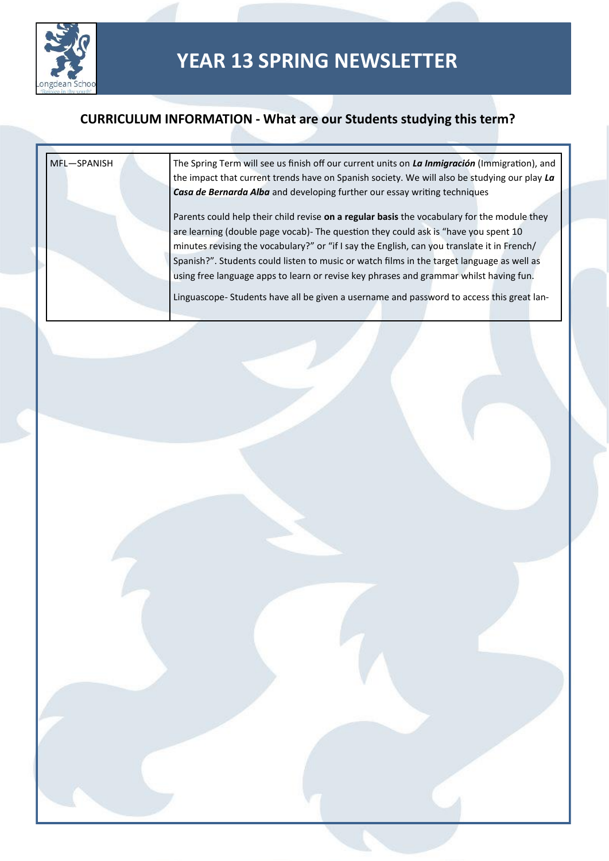

| MFL-SPANISH | The Spring Term will see us finish off our current units on La Inmigración (Immigration), and<br>the impact that current trends have on Spanish society. We will also be studying our play La |
|-------------|-----------------------------------------------------------------------------------------------------------------------------------------------------------------------------------------------|
|             | Casa de Bernarda Alba and developing further our essay writing techniques                                                                                                                     |
|             | Parents could help their child revise on a regular basis the vocabulary for the module they                                                                                                   |
|             | are learning (double page vocab)- The question they could ask is "have you spent 10                                                                                                           |
|             | minutes revising the vocabulary?" or "if I say the English, can you translate it in French/                                                                                                   |
|             | Spanish?". Students could listen to music or watch films in the target language as well as                                                                                                    |
|             | using free language apps to learn or revise key phrases and grammar whilst having fun.                                                                                                        |
|             | Linguascope-Students have all be given a username and password to access this great lan-                                                                                                      |
|             |                                                                                                                                                                                               |
|             |                                                                                                                                                                                               |
|             |                                                                                                                                                                                               |
|             |                                                                                                                                                                                               |
|             |                                                                                                                                                                                               |
|             |                                                                                                                                                                                               |
|             |                                                                                                                                                                                               |
|             |                                                                                                                                                                                               |
|             |                                                                                                                                                                                               |
|             |                                                                                                                                                                                               |
|             |                                                                                                                                                                                               |
|             |                                                                                                                                                                                               |
|             |                                                                                                                                                                                               |
|             |                                                                                                                                                                                               |
|             |                                                                                                                                                                                               |
|             |                                                                                                                                                                                               |
|             |                                                                                                                                                                                               |
|             |                                                                                                                                                                                               |
|             |                                                                                                                                                                                               |
|             |                                                                                                                                                                                               |
|             |                                                                                                                                                                                               |
|             |                                                                                                                                                                                               |
|             |                                                                                                                                                                                               |
|             |                                                                                                                                                                                               |
|             |                                                                                                                                                                                               |
|             |                                                                                                                                                                                               |
|             |                                                                                                                                                                                               |
|             |                                                                                                                                                                                               |
|             |                                                                                                                                                                                               |
|             |                                                                                                                                                                                               |
|             |                                                                                                                                                                                               |
|             |                                                                                                                                                                                               |
|             |                                                                                                                                                                                               |
|             |                                                                                                                                                                                               |